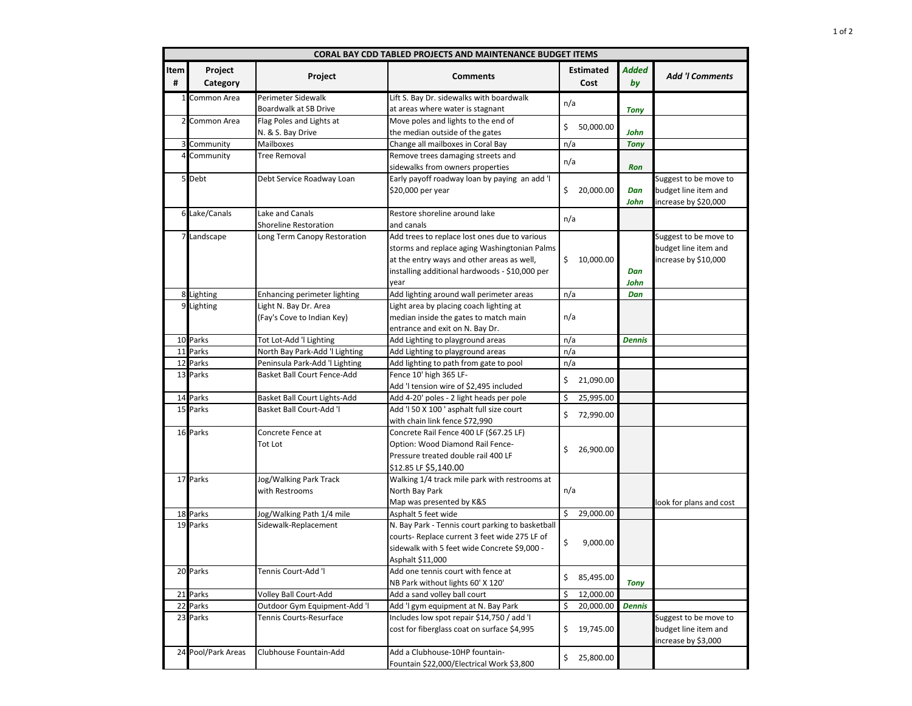| <b>CORAL BAY CDD TABLED PROJECTS AND MAINTENANCE BUDGET ITEMS</b> |                     |                                                     |                                                                                                                                                                                                       |                          |               |                                                                       |  |  |  |
|-------------------------------------------------------------------|---------------------|-----------------------------------------------------|-------------------------------------------------------------------------------------------------------------------------------------------------------------------------------------------------------|--------------------------|---------------|-----------------------------------------------------------------------|--|--|--|
| Item<br>#                                                         | Project<br>Category | Project                                             | <b>Comments</b>                                                                                                                                                                                       | <b>Estimated</b><br>Cost | Added<br>by   | <b>Add 'I Comments</b>                                                |  |  |  |
|                                                                   | 1 Common Area       | Perimeter Sidewalk                                  | Lift S. Bay Dr. sidewalks with boardwalk                                                                                                                                                              |                          |               |                                                                       |  |  |  |
|                                                                   |                     | Boardwalk at SB Drive                               | at areas where water is stagnant                                                                                                                                                                      | n/a                      | <b>Tony</b>   |                                                                       |  |  |  |
|                                                                   | 2 Common Area       | Flag Poles and Lights at                            | Move poles and lights to the end of                                                                                                                                                                   |                          |               |                                                                       |  |  |  |
|                                                                   |                     | N. & S. Bay Drive                                   | the median outside of the gates                                                                                                                                                                       | \$<br>50,000.00          | John          |                                                                       |  |  |  |
|                                                                   | 3 Community         | Mailboxes                                           | Change all mailboxes in Coral Bay                                                                                                                                                                     | n/a                      | <b>Tony</b>   |                                                                       |  |  |  |
|                                                                   | 4 Community         | Tree Removal                                        | Remove trees damaging streets and<br>sidewalks from owners properties                                                                                                                                 | n/a                      | <b>Ron</b>    |                                                                       |  |  |  |
|                                                                   | 5 Debt              | Debt Service Roadway Loan                           | Early payoff roadway loan by paying an add 'l<br>\$20,000 per year                                                                                                                                    | 20,000.00<br>\$.         | Dan<br>John   | Suggest to be move to<br>budget line item and<br>increase by \$20,000 |  |  |  |
|                                                                   | 6 Lake/Canals       | Lake and Canals<br><b>Shoreline Restoration</b>     | Restore shoreline around lake<br>and canals                                                                                                                                                           | n/a                      |               |                                                                       |  |  |  |
| 7 <sub>l</sub>                                                    | Landscape           | Long Term Canopy Restoration                        | Add trees to replace lost ones due to various<br>storms and replace aging Washingtonian Palms<br>at the entry ways and other areas as well,<br>installing additional hardwoods - \$10,000 per<br>year | \$<br>10,000.00          | Dan<br>John   | Suggest to be move to<br>budget line item and<br>increase by \$10,000 |  |  |  |
| 8                                                                 | Lighting            | Enhancing perimeter lighting                        | Add lighting around wall perimeter areas                                                                                                                                                              | n/a                      | Dan           |                                                                       |  |  |  |
|                                                                   | 9 Lighting          | Light N. Bay Dr. Area<br>(Fay's Cove to Indian Key) | Light area by placing coach lighting at<br>median inside the gates to match main<br>entrance and exit on N. Bay Dr.                                                                                   | n/a                      |               |                                                                       |  |  |  |
|                                                                   | 10 Parks            | Tot Lot-Add 'I Lighting                             | Add Lighting to playground areas                                                                                                                                                                      | n/a                      | <b>Dennis</b> |                                                                       |  |  |  |
|                                                                   | 11 Parks            | North Bay Park-Add 'I Lighting                      | Add Lighting to playground areas                                                                                                                                                                      | n/a                      |               |                                                                       |  |  |  |
| 12                                                                | Parks               | Peninsula Park-Add 'I Lighting                      | Add lighting to path from gate to pool                                                                                                                                                                | n/a                      |               |                                                                       |  |  |  |
|                                                                   | 13 Parks            | Basket Ball Court Fence-Add                         | Fence 10' high 365 LF-<br>Add 'I tension wire of \$2,495 included                                                                                                                                     | \$<br>21,090.00          |               |                                                                       |  |  |  |
|                                                                   | 14 Parks            | Basket Ball Court Lights-Add                        | Add 4-20' poles - 2 light heads per pole                                                                                                                                                              | \$<br>25,995.00          |               |                                                                       |  |  |  |
|                                                                   | 15 Parks            | <b>Basket Ball Court-Add 'I</b>                     | Add 'I 50 X 100 ' asphalt full size court<br>with chain link fence \$72,990                                                                                                                           | \$<br>72,990.00          |               |                                                                       |  |  |  |
|                                                                   | 16 Parks            | Concrete Fence at<br>Tot Lot                        | Concrete Rail Fence 400 LF (\$67.25 LF)<br>Option: Wood Diamond Rail Fence-<br>Pressure treated double rail 400 LF<br>\$12.85 LF \$5,140.00                                                           | \$<br>26,900.00          |               |                                                                       |  |  |  |
|                                                                   | 17 Parks            | Jog/Walking Park Track<br>with Restrooms            | Walking 1/4 track mile park with restrooms at<br>North Bay Park<br>Map was presented by K&S                                                                                                           | n/a                      |               | look for plans and cost                                               |  |  |  |
| 18                                                                | Parks               | Jog/Walking Path 1/4 mile                           | Asphalt 5 feet wide                                                                                                                                                                                   | \$<br>29,000.00          |               |                                                                       |  |  |  |
|                                                                   | 19 Parks            | Sidewalk-Replacement                                | N. Bay Park - Tennis court parking to basketball<br>courts- Replace current 3 feet wide 275 LF of<br>sidewalk with 5 feet wide Concrete \$9,000 -<br>Asphalt \$11,000                                 | \$<br>9,000.00           |               |                                                                       |  |  |  |
|                                                                   | 20 Parks            | Tennis Court-Add 'I                                 | Add one tennis court with fence at<br>NB Park without lights 60' X 120'                                                                                                                               | \$<br>85,495.00          | <b>Tony</b>   |                                                                       |  |  |  |
|                                                                   | 21 Parks            | Volley Ball Court-Add                               | Add a sand volley ball court                                                                                                                                                                          | \$<br>12,000.00          |               |                                                                       |  |  |  |
|                                                                   | 22 Parks            | Outdoor Gym Equipment-Add 'I                        | Add 'I gym equipment at N. Bay Park                                                                                                                                                                   | Ś<br>20,000.00           | <b>Dennis</b> |                                                                       |  |  |  |
|                                                                   | 23 Parks            | Tennis Courts-Resurface                             | Includes low spot repair \$14,750 / add 'I<br>cost for fiberglass coat on surface \$4,995                                                                                                             | \$.<br>19,745.00         |               | Suggest to be move to<br>budget line item and<br>increase by \$3,000  |  |  |  |
|                                                                   | 24 Pool/Park Areas  | Clubhouse Fountain-Add                              | Add a Clubhouse-10HP fountain-<br>Fountain \$22,000/Electrical Work \$3,800                                                                                                                           | 25,800.00<br>\$.         |               |                                                                       |  |  |  |